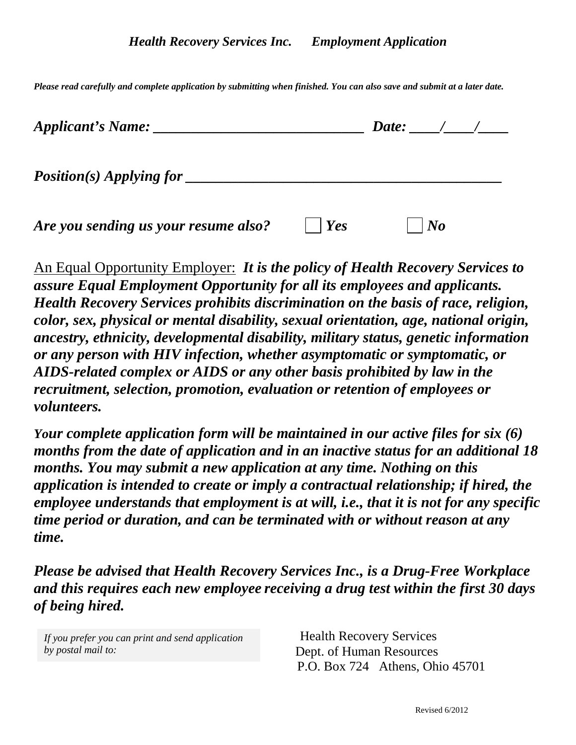*Please read carefully and complete application by submitting when finished. You can also save and submit at a later date.*

| Applicant's Name:                    |     | Date: $\frac{1}{2}$ / |  |
|--------------------------------------|-----|-----------------------|--|
|                                      |     |                       |  |
| Are you sending us your resume also? | Yes | $\bm{N}$              |  |

An Equal Opportunity Employer: *It is the policy of Health Recovery Services to assure Equal Employment Opportunity for all its employees and applicants. Health Recovery Services prohibits discrimination on the basis of race, religion, color, sex, physical or mental disability, sexual orientation, age, national origin, ancestry, ethnicity, developmental disability, military status, genetic information or any person with HIV infection, whether asymptomatic or symptomatic, or AIDS-related complex or AIDS or any other basis prohibited by law in the recruitment, selection, promotion, evaluation or retention of employees or volunteers.*

*Your complete application form will be maintained in our active files for six (6) months from the date of application and in an inactive status for an additional 18 months. You may submit a new application at any time. Nothing on this application is intended to create or imply a contractual relationship; if hired, the employee understands that employment is at will, i.e., that it is not for any specific time period or duration, and can be terminated with or without reason at any time.* 

*Please be advised that Health Recovery Services Inc., is a Drug-Free Workplace and this requires each new employee receiving a drug test within the first 30 days of being hired.*

*If you prefer you can print and send application by postal mail to:* 

 Health Recovery Services Dept. of Human Resources P.O. Box 724Athens, Ohio 45701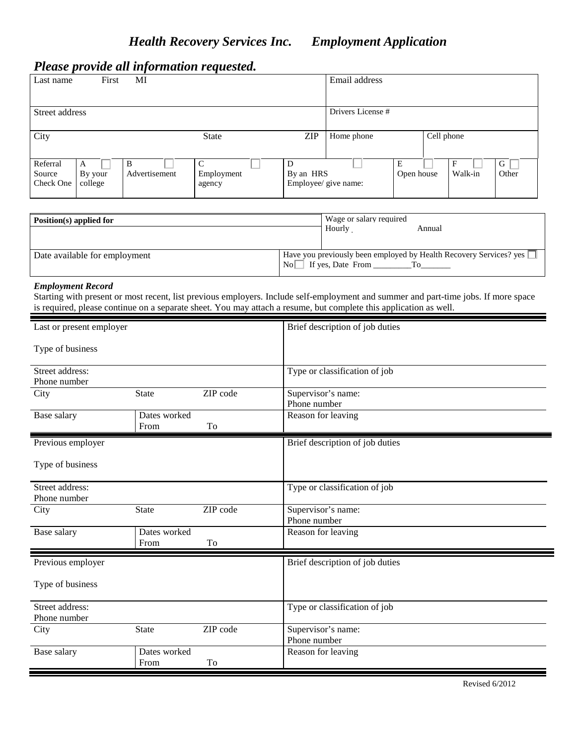# *Please provide all information requested.*

| Last name                       | First                   | MI                 |                      |                                        | Email address     |                 |            |              |            |
|---------------------------------|-------------------------|--------------------|----------------------|----------------------------------------|-------------------|-----------------|------------|--------------|------------|
| Street address                  |                         |                    |                      |                                        | Drivers License # |                 |            |              |            |
| City                            |                         |                    | <b>State</b>         | <b>ZIP</b>                             | Home phone        |                 | Cell phone |              |            |
| Referral<br>Source<br>Check One | A<br>By your<br>college | B<br>Advertisement | Employment<br>agency | D<br>By an HRS<br>Employee/ give name: |                   | Е<br>Open house |            | F<br>Walk-in | G<br>Other |

| Position(s) applied for       |      | Wage or salary required |                                                                    |
|-------------------------------|------|-------------------------|--------------------------------------------------------------------|
|                               |      | Hourly                  | Annual                                                             |
| Date available for employment | Nol. | If yes, Date From       | Have you previously been employed by Health Recovery Services? yes |

## *Employment Record*

Starting with present or most recent, list previous employers. Include self-employment and summer and part-time jobs. If more space is required, please continue on a separate sheet. You may attach a resume, but complete this application as well.

| Last or present employer |              |          | Brief description of job duties |
|--------------------------|--------------|----------|---------------------------------|
| Type of business         |              |          |                                 |
| Street address:          |              |          | Type or classification of job   |
| Phone number             |              |          |                                 |
| City                     | <b>State</b> | ZIP code | Supervisor's name:              |
|                          |              |          | Phone number                    |
| Base salary              | Dates worked |          | Reason for leaving              |
|                          | From         | To       |                                 |
| Previous employer        |              |          | Brief description of job duties |
|                          |              |          |                                 |
| Type of business         |              |          |                                 |
|                          |              |          |                                 |
| Street address:          |              |          | Type or classification of job   |
| Phone number             |              |          |                                 |
| City                     | <b>State</b> | ZIP code | Supervisor's name:              |
|                          |              |          | Phone number                    |
| Base salary              | Dates worked |          | Reason for leaving              |
|                          | From         | To       |                                 |
| Previous employer        |              |          | Brief description of job duties |
|                          |              |          |                                 |
| Type of business         |              |          |                                 |
|                          |              |          |                                 |
| Street address:          |              |          | Type or classification of job   |
| Phone number             |              |          |                                 |
| City                     | <b>State</b> | ZIP code | Supervisor's name:              |
|                          |              |          | Phone number                    |
| Base salary              | Dates worked |          | Reason for leaving              |
|                          | From         | To       |                                 |
|                          |              |          |                                 |

Revised 6/2012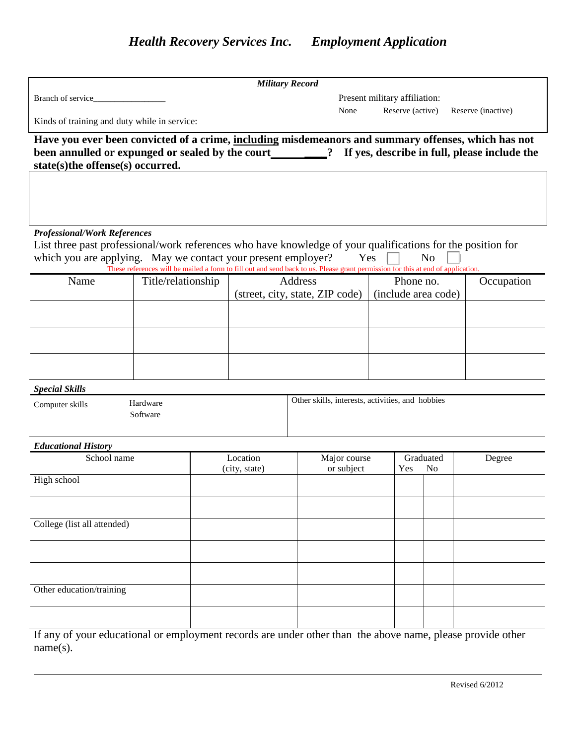|                                                                                                            |                                                                                                                                                                                                  |                           | <b>Military Record</b>                           |                               |                |                    |  |  |
|------------------------------------------------------------------------------------------------------------|--------------------------------------------------------------------------------------------------------------------------------------------------------------------------------------------------|---------------------------|--------------------------------------------------|-------------------------------|----------------|--------------------|--|--|
| Branch of service_                                                                                         |                                                                                                                                                                                                  |                           |                                                  | Present military affiliation: |                |                    |  |  |
|                                                                                                            | Kinds of training and duty while in service:                                                                                                                                                     |                           | None                                             | Reserve (active)              |                | Reserve (inactive) |  |  |
|                                                                                                            | Have you ever been convicted of a crime, including misdemeanors and summary offenses, which has not                                                                                              |                           |                                                  |                               |                |                    |  |  |
|                                                                                                            | been annulled or expunged or sealed by the court 200 metal of the search in full, please include the                                                                                             |                           |                                                  |                               |                |                    |  |  |
| state(s)the offense(s) occurred.                                                                           |                                                                                                                                                                                                  |                           |                                                  |                               |                |                    |  |  |
|                                                                                                            |                                                                                                                                                                                                  |                           |                                                  |                               |                |                    |  |  |
|                                                                                                            |                                                                                                                                                                                                  |                           |                                                  |                               |                |                    |  |  |
|                                                                                                            |                                                                                                                                                                                                  |                           |                                                  |                               |                |                    |  |  |
| <b>Professional/Work References</b>                                                                        |                                                                                                                                                                                                  |                           |                                                  |                               |                |                    |  |  |
|                                                                                                            | List three past professional/work references who have knowledge of your qualifications for the position for                                                                                      |                           |                                                  |                               |                |                    |  |  |
|                                                                                                            | which you are applying. May we contact your present employer?<br>These references will be mailed a form to fill out and send back to us. Please grant permission for this at end of application. |                           | Yes                                              |                               | N <sub>o</sub> |                    |  |  |
| Name                                                                                                       | Title/relationship                                                                                                                                                                               | <b>Address</b>            |                                                  | Phone no.                     |                | Occupation         |  |  |
|                                                                                                            |                                                                                                                                                                                                  |                           | (street, city, state, ZIP code)                  | (include area code)           |                |                    |  |  |
|                                                                                                            |                                                                                                                                                                                                  |                           |                                                  |                               |                |                    |  |  |
|                                                                                                            |                                                                                                                                                                                                  |                           |                                                  |                               |                |                    |  |  |
|                                                                                                            |                                                                                                                                                                                                  |                           |                                                  |                               |                |                    |  |  |
|                                                                                                            |                                                                                                                                                                                                  |                           |                                                  |                               |                |                    |  |  |
|                                                                                                            |                                                                                                                                                                                                  |                           |                                                  |                               |                |                    |  |  |
| <b>Special Skills</b>                                                                                      |                                                                                                                                                                                                  |                           |                                                  |                               |                |                    |  |  |
| Computer skills                                                                                            | Hardware                                                                                                                                                                                         |                           | Other skills, interests, activities, and hobbies |                               |                |                    |  |  |
|                                                                                                            | Software                                                                                                                                                                                         |                           |                                                  |                               |                |                    |  |  |
|                                                                                                            |                                                                                                                                                                                                  |                           |                                                  |                               |                |                    |  |  |
| <b>Educational History</b>                                                                                 |                                                                                                                                                                                                  |                           |                                                  |                               |                |                    |  |  |
| School name                                                                                                |                                                                                                                                                                                                  | Location<br>(city, state) | Major course<br>or subject                       | Graduated<br>Yes              | N <sub>o</sub> | Degree             |  |  |
| High school                                                                                                |                                                                                                                                                                                                  |                           |                                                  |                               |                |                    |  |  |
|                                                                                                            |                                                                                                                                                                                                  |                           |                                                  |                               |                |                    |  |  |
|                                                                                                            |                                                                                                                                                                                                  |                           |                                                  |                               |                |                    |  |  |
| College (list all attended)                                                                                |                                                                                                                                                                                                  |                           |                                                  |                               |                |                    |  |  |
|                                                                                                            |                                                                                                                                                                                                  |                           |                                                  |                               |                |                    |  |  |
|                                                                                                            |                                                                                                                                                                                                  |                           |                                                  |                               |                |                    |  |  |
|                                                                                                            |                                                                                                                                                                                                  |                           |                                                  |                               |                |                    |  |  |
| Other education/training                                                                                   |                                                                                                                                                                                                  |                           |                                                  |                               |                |                    |  |  |
|                                                                                                            |                                                                                                                                                                                                  |                           |                                                  |                               |                |                    |  |  |
|                                                                                                            |                                                                                                                                                                                                  |                           |                                                  |                               |                |                    |  |  |
| If any of your educational or employment records are under other than the above name, please provide other |                                                                                                                                                                                                  |                           |                                                  |                               |                |                    |  |  |

name(s).

l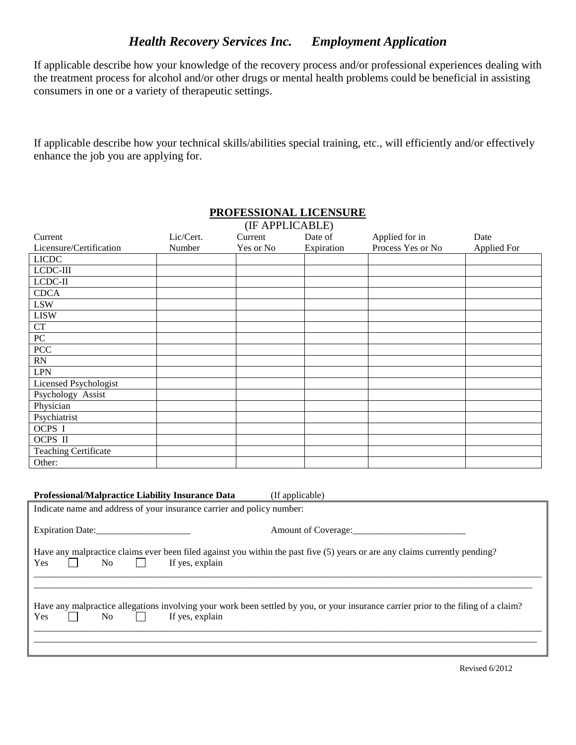## *Health Recovery Services Inc. Employment Application*

If applicable describe how your knowledge of the recovery process and/or professional experiences dealing with the treatment process for alcohol and/or other drugs or mental health problems could be beneficial in assisting consumers in one or a variety of therapeutic settings.

If applicable describe how your technical skills/abilities special training, etc., will efficiently and/or effectively enhance the job you are applying for.

|                                                                                                                                                              |                 | PRUFESSIUNAL LIUENSUKE<br>(IF APPLICABLE) |                 |                                                        |             |
|--------------------------------------------------------------------------------------------------------------------------------------------------------------|-----------------|-------------------------------------------|-----------------|--------------------------------------------------------|-------------|
| Current                                                                                                                                                      | Lic/Cert.       | Current                                   | Date of         | Applied for in                                         | Date        |
| Licensure/Certification                                                                                                                                      | Number          | Yes or No                                 | Expiration      | Process Yes or No                                      | Applied For |
| <b>LICDC</b>                                                                                                                                                 |                 |                                           |                 |                                                        |             |
| LCDC-III                                                                                                                                                     |                 |                                           |                 |                                                        |             |
| $LCDC-II$                                                                                                                                                    |                 |                                           |                 |                                                        |             |
| <b>CDCA</b>                                                                                                                                                  |                 |                                           |                 |                                                        |             |
| <b>LSW</b>                                                                                                                                                   |                 |                                           |                 |                                                        |             |
| <b>LISW</b>                                                                                                                                                  |                 |                                           |                 |                                                        |             |
| CT                                                                                                                                                           |                 |                                           |                 |                                                        |             |
| PC                                                                                                                                                           |                 |                                           |                 |                                                        |             |
| PCC                                                                                                                                                          |                 |                                           |                 |                                                        |             |
| RN                                                                                                                                                           |                 |                                           |                 |                                                        |             |
| <b>LPN</b>                                                                                                                                                   |                 |                                           |                 |                                                        |             |
| Licensed Psychologist                                                                                                                                        |                 |                                           |                 |                                                        |             |
| Psychology Assist                                                                                                                                            |                 |                                           |                 |                                                        |             |
| Physician                                                                                                                                                    |                 |                                           |                 |                                                        |             |
| Psychiatrist                                                                                                                                                 |                 |                                           |                 |                                                        |             |
| OCPS I                                                                                                                                                       |                 |                                           |                 |                                                        |             |
| OCPS II                                                                                                                                                      |                 |                                           |                 |                                                        |             |
| <b>Teaching Certificate</b>                                                                                                                                  |                 |                                           |                 |                                                        |             |
| Other:                                                                                                                                                       |                 |                                           |                 |                                                        |             |
| <b>Professional/Malpractice Liability Insurance Data</b><br>Indicate name and address of your insurance carrier and policy number:                           |                 |                                           | (If applicable) |                                                        |             |
|                                                                                                                                                              |                 |                                           |                 | Amount of Coverage:<br><u>Letter and the coverage:</u> |             |
| Have any malpractice claims ever been filed against you within the past five (5) years or are any claims currently pending?<br>Yes<br>N <sub>o</sub>         | If yes, explain |                                           |                 |                                                        |             |
| Have any malpractice allegations involving your work been settled by you, or your insurance carrier prior to the filing of a claim?<br>N <sub>o</sub><br>Yes | If yes, explain |                                           |                 |                                                        |             |

\_\_\_\_\_\_\_\_\_\_\_\_\_\_\_\_\_\_\_\_\_\_\_\_\_\_\_\_\_\_\_\_\_\_\_\_\_\_\_\_\_\_\_\_\_\_\_\_\_\_\_\_\_\_\_\_\_\_\_\_\_\_\_\_\_\_\_\_\_\_\_\_\_\_\_\_\_\_\_\_\_\_\_\_\_\_\_\_\_\_\_\_\_\_\_\_\_\_\_\_\_\_\_\_\_\_\_\_ \_\_\_\_\_\_\_\_\_\_\_\_\_\_\_\_\_\_\_\_\_\_\_\_\_\_\_\_\_\_\_\_\_\_\_\_\_\_\_\_\_\_\_\_\_\_\_\_\_\_\_\_\_\_\_\_\_\_\_\_\_\_\_\_\_\_\_\_\_\_\_\_\_\_\_\_\_\_\_\_\_\_\_\_\_\_\_\_\_\_\_\_\_\_\_\_\_\_\_\_\_\_\_\_\_\_\_

## **PROFESSIONAL LICENSURE**

Revised 6/2012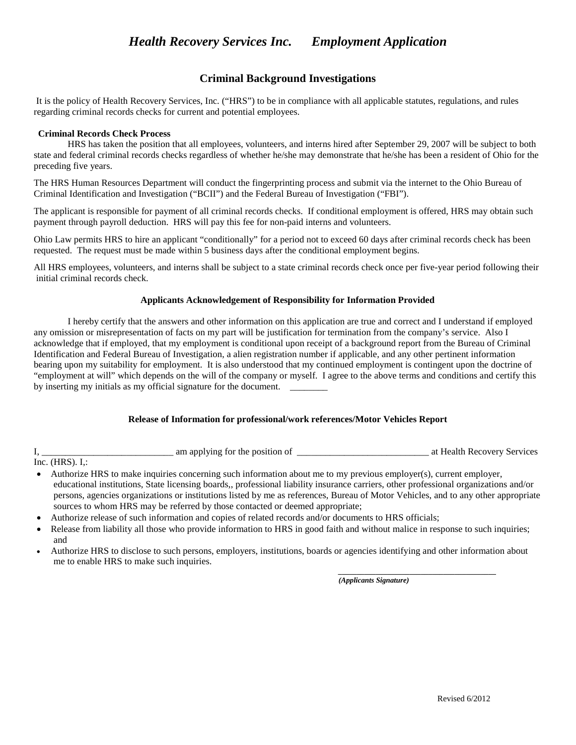## **Criminal Background Investigations**

It is the policy of Health Recovery Services, Inc. ("HRS") to be in compliance with all applicable statutes, regulations, and rules regarding criminal records checks for current and potential employees.

#### **Criminal Records Check Process**

HRS has taken the position that all employees, volunteers, and interns hired after September 29, 2007 will be subject to both state and federal criminal records checks regardless of whether he/she may demonstrate that he/she has been a resident of Ohio for the preceding five years.

The HRS Human Resources Department will conduct the fingerprinting process and submit via the internet to the Ohio Bureau of Criminal Identification and Investigation ("BCII") and the Federal Bureau of Investigation ("FBI").

The applicant is responsible for payment of all criminal records checks. If conditional employment is offered, HRS may obtain such payment through payroll deduction. HRS will pay this fee for non-paid interns and volunteers.

Ohio Law permits HRS to hire an applicant "conditionally" for a period not to exceed 60 days after criminal records check has been requested. The request must be made within 5 business days after the conditional employment begins.

All HRS employees, volunteers, and interns shall be subject to a state criminal records check once per five-year period following their initial criminal records check.

### **Applicants Acknowledgement of Responsibility for Information Provided**

I hereby certify that the answers and other information on this application are true and correct and I understand if employed any omission or misrepresentation of facts on my part will be justification for termination from the company's service. Also I acknowledge that if employed, that my employment is conditional upon receipt of a background report from the Bureau of Criminal Identification and Federal Bureau of Investigation, a alien registration number if applicable, and any other pertinent information bearing upon my suitability for employment. It is also understood that my continued employment is contingent upon the doctrine of "employment at will" which depends on the will of the company or myself. I agree to the above terms and conditions and certify this by inserting my initials as my official signature for the document.

### **Release of Information for professional/work references/Motor Vehicles Report**

I, \_\_\_\_\_\_\_\_\_\_\_\_\_\_\_\_\_\_\_\_\_\_\_\_\_\_\_\_ am applying for the position of \_\_\_\_\_\_\_\_\_\_\_\_\_\_\_\_\_\_\_\_\_\_\_\_\_\_\_\_ at Health Recovery Services

Inc. (HRS). I,:

- Authorize HRS to make inquiries concerning such information about me to my previous employer(s), current employer, educational institutions, State licensing boards,, professional liability insurance carriers, other professional organizations and/or persons, agencies organizations or institutions listed by me as references, Bureau of Motor Vehicles, and to any other appropriate sources to whom HRS may be referred by those contacted or deemed appropriate;
- Authorize release of such information and copies of related records and/or documents to HRS officials;
- Release from liability all those who provide information to HRS in good faith and without malice in response to such inquiries; and
- Authorize HRS to disclose to such persons, employers, institutions, boards or agencies identifying and other information about me to enable HRS to make such inquiries.

*(Applicants Signature)* 

*\_\_\_\_\_\_\_\_\_\_\_\_\_\_\_\_\_\_\_\_\_\_\_\_\_\_\_\_\_\_\_\_\_\_\_\_\_\_\_\_\_\_*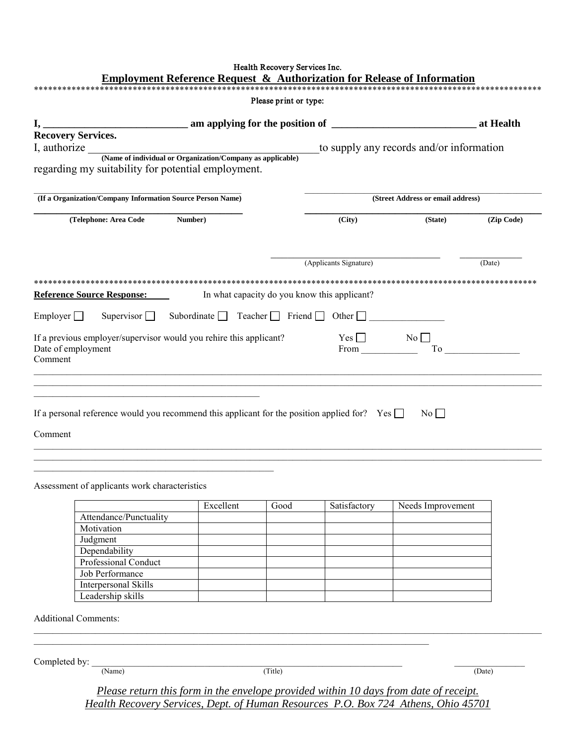| Please print or type:<br><b>Recovery Services.</b><br>regarding my suitability for potential employment.<br>(If a Organization/Company Information Source Person Name)<br>(Telephone: Area Code<br>Number)<br>(Applicants Signature)<br>Reference Source Response:<br>In what capacity do you know this applicant?<br>Employer Supervisor Subordinate Teacher Friend Other<br>If a previous employer/supervisor would you rehire this applicant?<br>Date of employment<br>Comment<br><u> 1989 - Johann Stoff, deutscher Stoff, der Stoff, der Stoff, der Stoff, der Stoff, der Stoff, der Stoff, der S</u><br><u> 1989 - Johann John Stein, mars an deutscher Stein und der Stein und der Stein und der Stein und der Stein und</u><br>If a personal reference would you recommend this applicant for the position applied for? Yes $\Box$<br>Comment<br>Assessment of applicants work characteristics | (City)<br>$\begin{array}{c}\n\text{Yes} \\ \hline\n\text{From} \\ \hline\n\end{array}$ | to supply any records and/or information<br>(Street Address or email address)<br>(Zip Code)<br>(State)<br>(Date)<br>To |
|--------------------------------------------------------------------------------------------------------------------------------------------------------------------------------------------------------------------------------------------------------------------------------------------------------------------------------------------------------------------------------------------------------------------------------------------------------------------------------------------------------------------------------------------------------------------------------------------------------------------------------------------------------------------------------------------------------------------------------------------------------------------------------------------------------------------------------------------------------------------------------------------------------|----------------------------------------------------------------------------------------|------------------------------------------------------------------------------------------------------------------------|
|                                                                                                                                                                                                                                                                                                                                                                                                                                                                                                                                                                                                                                                                                                                                                                                                                                                                                                        |                                                                                        |                                                                                                                        |
|                                                                                                                                                                                                                                                                                                                                                                                                                                                                                                                                                                                                                                                                                                                                                                                                                                                                                                        |                                                                                        |                                                                                                                        |
|                                                                                                                                                                                                                                                                                                                                                                                                                                                                                                                                                                                                                                                                                                                                                                                                                                                                                                        |                                                                                        |                                                                                                                        |
|                                                                                                                                                                                                                                                                                                                                                                                                                                                                                                                                                                                                                                                                                                                                                                                                                                                                                                        |                                                                                        |                                                                                                                        |
|                                                                                                                                                                                                                                                                                                                                                                                                                                                                                                                                                                                                                                                                                                                                                                                                                                                                                                        |                                                                                        |                                                                                                                        |
|                                                                                                                                                                                                                                                                                                                                                                                                                                                                                                                                                                                                                                                                                                                                                                                                                                                                                                        |                                                                                        |                                                                                                                        |
|                                                                                                                                                                                                                                                                                                                                                                                                                                                                                                                                                                                                                                                                                                                                                                                                                                                                                                        |                                                                                        |                                                                                                                        |
|                                                                                                                                                                                                                                                                                                                                                                                                                                                                                                                                                                                                                                                                                                                                                                                                                                                                                                        |                                                                                        |                                                                                                                        |
|                                                                                                                                                                                                                                                                                                                                                                                                                                                                                                                                                                                                                                                                                                                                                                                                                                                                                                        |                                                                                        |                                                                                                                        |
|                                                                                                                                                                                                                                                                                                                                                                                                                                                                                                                                                                                                                                                                                                                                                                                                                                                                                                        |                                                                                        |                                                                                                                        |
|                                                                                                                                                                                                                                                                                                                                                                                                                                                                                                                                                                                                                                                                                                                                                                                                                                                                                                        |                                                                                        |                                                                                                                        |
|                                                                                                                                                                                                                                                                                                                                                                                                                                                                                                                                                                                                                                                                                                                                                                                                                                                                                                        |                                                                                        |                                                                                                                        |
|                                                                                                                                                                                                                                                                                                                                                                                                                                                                                                                                                                                                                                                                                                                                                                                                                                                                                                        |                                                                                        |                                                                                                                        |
|                                                                                                                                                                                                                                                                                                                                                                                                                                                                                                                                                                                                                                                                                                                                                                                                                                                                                                        |                                                                                        |                                                                                                                        |
|                                                                                                                                                                                                                                                                                                                                                                                                                                                                                                                                                                                                                                                                                                                                                                                                                                                                                                        |                                                                                        |                                                                                                                        |
|                                                                                                                                                                                                                                                                                                                                                                                                                                                                                                                                                                                                                                                                                                                                                                                                                                                                                                        |                                                                                        |                                                                                                                        |
|                                                                                                                                                                                                                                                                                                                                                                                                                                                                                                                                                                                                                                                                                                                                                                                                                                                                                                        |                                                                                        |                                                                                                                        |
|                                                                                                                                                                                                                                                                                                                                                                                                                                                                                                                                                                                                                                                                                                                                                                                                                                                                                                        |                                                                                        |                                                                                                                        |
|                                                                                                                                                                                                                                                                                                                                                                                                                                                                                                                                                                                                                                                                                                                                                                                                                                                                                                        |                                                                                        |                                                                                                                        |
|                                                                                                                                                                                                                                                                                                                                                                                                                                                                                                                                                                                                                                                                                                                                                                                                                                                                                                        |                                                                                        |                                                                                                                        |
|                                                                                                                                                                                                                                                                                                                                                                                                                                                                                                                                                                                                                                                                                                                                                                                                                                                                                                        |                                                                                        | $\overline{N_0}$                                                                                                       |
|                                                                                                                                                                                                                                                                                                                                                                                                                                                                                                                                                                                                                                                                                                                                                                                                                                                                                                        |                                                                                        |                                                                                                                        |
|                                                                                                                                                                                                                                                                                                                                                                                                                                                                                                                                                                                                                                                                                                                                                                                                                                                                                                        |                                                                                        |                                                                                                                        |
|                                                                                                                                                                                                                                                                                                                                                                                                                                                                                                                                                                                                                                                                                                                                                                                                                                                                                                        |                                                                                        |                                                                                                                        |
|                                                                                                                                                                                                                                                                                                                                                                                                                                                                                                                                                                                                                                                                                                                                                                                                                                                                                                        |                                                                                        |                                                                                                                        |
|                                                                                                                                                                                                                                                                                                                                                                                                                                                                                                                                                                                                                                                                                                                                                                                                                                                                                                        |                                                                                        |                                                                                                                        |
|                                                                                                                                                                                                                                                                                                                                                                                                                                                                                                                                                                                                                                                                                                                                                                                                                                                                                                        |                                                                                        |                                                                                                                        |
|                                                                                                                                                                                                                                                                                                                                                                                                                                                                                                                                                                                                                                                                                                                                                                                                                                                                                                        |                                                                                        |                                                                                                                        |
| Excellent<br>Good                                                                                                                                                                                                                                                                                                                                                                                                                                                                                                                                                                                                                                                                                                                                                                                                                                                                                      | Satisfactory                                                                           | Needs Improvement                                                                                                      |
| Attendance/Punctuality                                                                                                                                                                                                                                                                                                                                                                                                                                                                                                                                                                                                                                                                                                                                                                                                                                                                                 |                                                                                        |                                                                                                                        |
| Motivation                                                                                                                                                                                                                                                                                                                                                                                                                                                                                                                                                                                                                                                                                                                                                                                                                                                                                             |                                                                                        |                                                                                                                        |
| Judgment                                                                                                                                                                                                                                                                                                                                                                                                                                                                                                                                                                                                                                                                                                                                                                                                                                                                                               |                                                                                        |                                                                                                                        |
| Dependability                                                                                                                                                                                                                                                                                                                                                                                                                                                                                                                                                                                                                                                                                                                                                                                                                                                                                          |                                                                                        |                                                                                                                        |
| Professional Conduct                                                                                                                                                                                                                                                                                                                                                                                                                                                                                                                                                                                                                                                                                                                                                                                                                                                                                   |                                                                                        |                                                                                                                        |
| Job Performance                                                                                                                                                                                                                                                                                                                                                                                                                                                                                                                                                                                                                                                                                                                                                                                                                                                                                        |                                                                                        |                                                                                                                        |
| Interpersonal Skills                                                                                                                                                                                                                                                                                                                                                                                                                                                                                                                                                                                                                                                                                                                                                                                                                                                                                   |                                                                                        |                                                                                                                        |
| Leadership skills                                                                                                                                                                                                                                                                                                                                                                                                                                                                                                                                                                                                                                                                                                                                                                                                                                                                                      |                                                                                        |                                                                                                                        |
| <b>Additional Comments:</b>                                                                                                                                                                                                                                                                                                                                                                                                                                                                                                                                                                                                                                                                                                                                                                                                                                                                            |                                                                                        |                                                                                                                        |
|                                                                                                                                                                                                                                                                                                                                                                                                                                                                                                                                                                                                                                                                                                                                                                                                                                                                                                        |                                                                                        |                                                                                                                        |
| Completed by:                                                                                                                                                                                                                                                                                                                                                                                                                                                                                                                                                                                                                                                                                                                                                                                                                                                                                          |                                                                                        |                                                                                                                        |
| (Title)<br>(Name)                                                                                                                                                                                                                                                                                                                                                                                                                                                                                                                                                                                                                                                                                                                                                                                                                                                                                      |                                                                                        | (Date)                                                                                                                 |
| Please return this form in the envelope provided within 10 days from date of receipt.                                                                                                                                                                                                                                                                                                                                                                                                                                                                                                                                                                                                                                                                                                                                                                                                                  |                                                                                        |                                                                                                                        |

*Health Recovery Services, Dept. of Human Resources P.O. Box 724 Athens, Ohio 45701*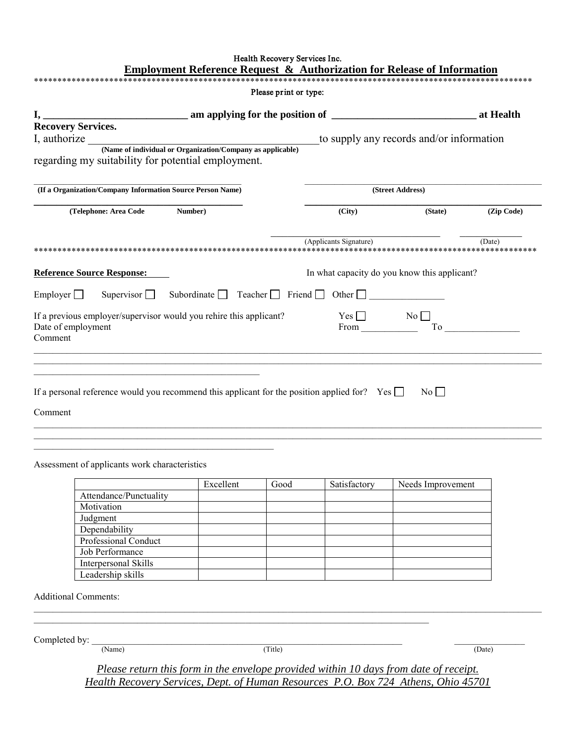| Health Recovery Services Inc.<br><b>Employment Reference Request &amp; Authorization for Release of Information</b>                                                                              |                                                                        |                                          |            |
|--------------------------------------------------------------------------------------------------------------------------------------------------------------------------------------------------|------------------------------------------------------------------------|------------------------------------------|------------|
|                                                                                                                                                                                                  |                                                                        |                                          |            |
| Please print or type:                                                                                                                                                                            |                                                                        |                                          |            |
|                                                                                                                                                                                                  |                                                                        |                                          |            |
|                                                                                                                                                                                                  |                                                                        |                                          |            |
|                                                                                                                                                                                                  |                                                                        | to supply any records and/or information |            |
| I, authorize <u>(Name of individual or Organization</u> /Company as applicable)<br>regarding my suitability for potential employment.                                                            |                                                                        |                                          |            |
| (If a Organization/Company Information Source Person Name)                                                                                                                                       |                                                                        | (Street Address)                         |            |
| Number)<br>(Telephone: Area Code                                                                                                                                                                 | (City)                                                                 | (State)                                  | (Zip Code) |
| <b>Reference Source Response:</b>                                                                                                                                                                | (Applicants Signature)<br>In what capacity do you know this applicant? |                                          | (Date)     |
| Supervisor Subordinate Teacher Friend Other<br>Employer $\Box$                                                                                                                                   |                                                                        |                                          |            |
| If a previous employer/supervisor would you rehire this applicant?                                                                                                                               | $Yes \Box$ No $\Box$                                                   |                                          |            |
| Date of employment<br>Comment                                                                                                                                                                    | From _                                                                 |                                          | To         |
| the control of the control of the control of the control of the control of the control of<br>If a personal reference would you recommend this applicant for the position applied for? Yes $\Box$ |                                                                        | $\overline{N_0}$                         |            |
| Comment                                                                                                                                                                                          |                                                                        |                                          |            |

Assessment of applicants work characteristics

 $\mathcal{L}_\text{max}$  and  $\mathcal{L}_\text{max}$  and  $\mathcal{L}_\text{max}$  and  $\mathcal{L}_\text{max}$  and  $\mathcal{L}_\text{max}$ 

|                             | Excellent | Good | Satisfactory | Needs Improvement |
|-----------------------------|-----------|------|--------------|-------------------|
| Attendance/Punctuality      |           |      |              |                   |
| Motivation                  |           |      |              |                   |
| Judgment                    |           |      |              |                   |
| Dependability               |           |      |              |                   |
| Professional Conduct        |           |      |              |                   |
| Job Performance             |           |      |              |                   |
| <b>Interpersonal Skills</b> |           |      |              |                   |
| Leadership skills           |           |      |              |                   |

 $\mathcal{L}_\mathcal{L} = \{ \mathcal{L}_\mathcal{L} = \{ \mathcal{L}_\mathcal{L} = \{ \mathcal{L}_\mathcal{L} = \{ \mathcal{L}_\mathcal{L} = \{ \mathcal{L}_\mathcal{L} = \{ \mathcal{L}_\mathcal{L} = \{ \mathcal{L}_\mathcal{L} = \{ \mathcal{L}_\mathcal{L} = \{ \mathcal{L}_\mathcal{L} = \{ \mathcal{L}_\mathcal{L} = \{ \mathcal{L}_\mathcal{L} = \{ \mathcal{L}_\mathcal{L} = \{ \mathcal{L}_\mathcal{L} = \{ \mathcal{L}_\mathcal{$ 

Additional Comments:

Completed by: \_\_\_\_\_\_\_\_\_\_\_\_\_\_\_\_\_\_\_\_\_\_\_\_\_\_\_\_\_\_\_\_\_\_\_\_\_\_\_\_\_\_\_\_\_\_\_\_\_\_\_\_\_\_\_\_\_\_\_\_\_\_\_\_\_\_ \_\_\_\_\_\_\_\_\_\_\_\_\_\_\_ (Name) (Title) (Date)

 $\mathcal{L}_\mathcal{L} = \{ \mathcal{L}_\mathcal{L} = \{ \mathcal{L}_\mathcal{L} = \{ \mathcal{L}_\mathcal{L} = \{ \mathcal{L}_\mathcal{L} = \{ \mathcal{L}_\mathcal{L} = \{ \mathcal{L}_\mathcal{L} = \{ \mathcal{L}_\mathcal{L} = \{ \mathcal{L}_\mathcal{L} = \{ \mathcal{L}_\mathcal{L} = \{ \mathcal{L}_\mathcal{L} = \{ \mathcal{L}_\mathcal{L} = \{ \mathcal{L}_\mathcal{L} = \{ \mathcal{L}_\mathcal{L} = \{ \mathcal{L}_\mathcal{$ 

*Please return this form in the envelope provided within 10 days from date of receipt. Health Recovery Services, Dept. of Human Resources P.O. Box 724 Athens, Ohio 45701*

 $\_$  ,  $\_$  ,  $\_$  ,  $\_$  ,  $\_$  ,  $\_$  ,  $\_$  ,  $\_$  ,  $\_$  ,  $\_$  ,  $\_$  ,  $\_$  ,  $\_$  ,  $\_$  ,  $\_$  ,  $\_$  ,  $\_$  ,  $\_$  ,  $\_$  ,  $\_$  ,  $\_$  ,  $\_$  ,  $\_$  ,  $\_$  ,  $\_$  ,  $\_$  ,  $\_$  ,  $\_$  ,  $\_$  ,  $\_$  ,  $\_$  ,  $\_$  ,  $\_$  ,  $\_$  ,  $\_$  ,  $\_$  ,  $\_$  ,